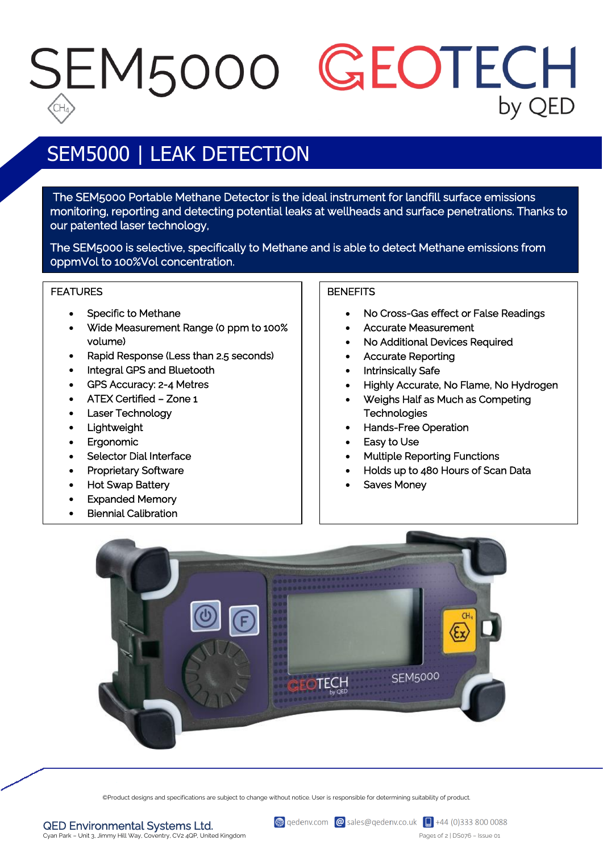## SEM5000 GEOTECH by QED

## SEM5000 | LEAK DETECTION

 The SEM5000 Portable Methane Detector is the ideal instrument for landfill surface emissions monitoring, reporting and detecting potential leaks at wellheads and surface penetrations. Thanks to our patented laser technology,

The SEM5000 is selective, specifically to Methane and is able to detect Methane emissions from 0ppmVol to 100%Vol concentration.

#### FEATURES

- Specific to Methane
- Wide Measurement Range (0 ppm to 100% volume)
- Rapid Response (Less than 2.5 seconds)
- Integral GPS and Bluetooth
- GPS Accuracy: 2-4 Metres
- ATEX Certified Zone 1
- Laser Technology
- Lightweight
- Ergonomic
- Selector Dial Interface
- Proprietary Software
- Hot Swap Battery
- Expanded Memory
- Biennial Calibration

### **BENEFITS**

- No Cross-Gas effect or False Readings
- Accurate Measurement
- No Additional Devices Required
- Accurate Reporting
- Intrinsically Safe
- Highly Accurate, No Flame, No Hydrogen
- Weighs Half as Much as Competing **Technologies**
- Hands-Free Operation
- Easy to Use
- Multiple Reporting Functions
- Holds up to 480 Hours of Scan Data
- Saves Money



©Product designs and specifications are subject to change without notice. User is responsible for determining suitability of product.